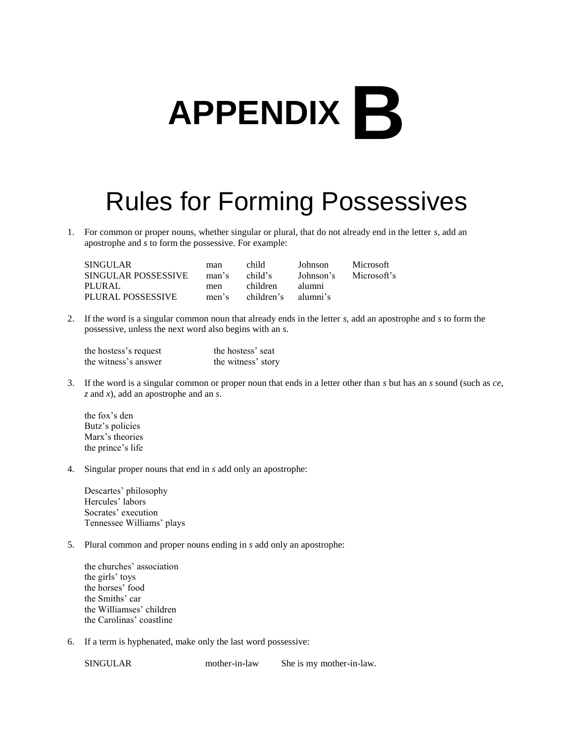## **APPENDIX B**

## Rules for Forming Possessives

1. For common or proper nouns, whether singular or plural, that do not already end in the letter *s,* add an apostrophe and *s* to form the possessive. For example:

| <b>SINGULAR</b>     | man   | child      | Johnson   | <b>Microsoft</b> |
|---------------------|-------|------------|-----------|------------------|
| SINGULAR POSSESSIVE | man's | child's    | Johnson's | Microsoft's      |
| PLURAL              | men   | children.  | alumni    |                  |
| PLURAL POSSESSIVE   | men's | children's | alumni's  |                  |

2. If the word is a singular common noun that already ends in the letter *s,* add an apostrophe and *s* to form the possessive, unless the next word also begins with an *s*.

| the hostess's request | the hostess' seat  |
|-----------------------|--------------------|
| the witness's answer  | the witness' story |

3. If the word is a singular common or proper noun that ends in a letter other than *s* but has an *s* sound (such as *ce*, *z* and *x*), add an apostrophe and an *s*.

the fox's den Butz's policies Marx's theories the prince's life

4. Singular proper nouns that end in *s* add only an apostrophe:

Descartes' philosophy Hercules' labors Socrates' execution Tennessee Williams' plays

- 5. Plural common and proper nouns ending in *s* add only an apostrophe:
	- the churches' association the girls' toys the horses' food the Smiths' car the Williamses' children the Carolinas' coastline
- 6. If a term is hyphenated, make only the last word possessive:

SINGULAR mother-in-law She is my mother-in-law.